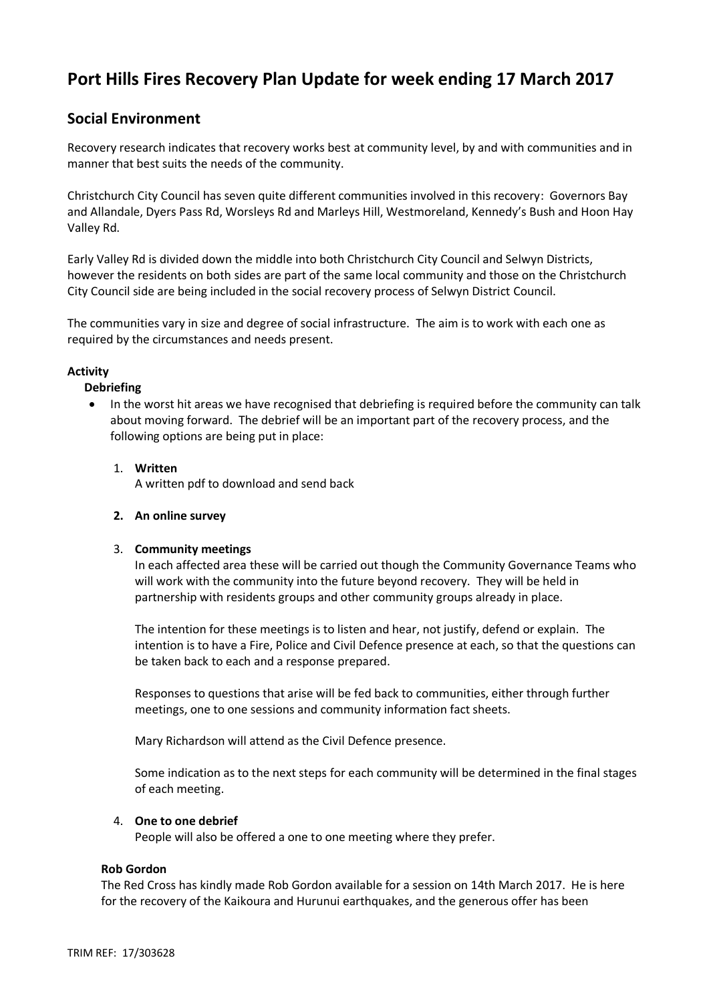# **Port Hills Fires Recovery Plan Update for week ending 17 March 2017**

# **Social Environment**

Recovery research indicates that recovery works best at community level, by and with communities and in manner that best suits the needs of the community.

Christchurch City Council has seven quite different communities involved in this recovery: Governors Bay and Allandale, Dyers Pass Rd, Worsleys Rd and Marleys Hill, Westmoreland, Kennedy's Bush and Hoon Hay Valley Rd.

Early Valley Rd is divided down the middle into both Christchurch City Council and Selwyn Districts, however the residents on both sides are part of the same local community and those on the Christchurch City Council side are being included in the social recovery process of Selwyn District Council.

The communities vary in size and degree of social infrastructure. The aim is to work with each one as required by the circumstances and needs present.

# **Activity**

## **Debriefing**

• In the worst hit areas we have recognised that debriefing is required before the community can talk about moving forward. The debrief will be an important part of the recovery process, and the following options are being put in place:

# 1. **Written**

A written pdf to download and send back

## **2. An online survey**

## 3. **Community meetings**

In each affected area these will be carried out though the Community Governance Teams who will work with the community into the future beyond recovery. They will be held in partnership with residents groups and other community groups already in place.

The intention for these meetings is to listen and hear, not justify, defend or explain. The intention is to have a Fire, Police and Civil Defence presence at each, so that the questions can be taken back to each and a response prepared.

Responses to questions that arise will be fed back to communities, either through further meetings, one to one sessions and community information fact sheets.

Mary Richardson will attend as the Civil Defence presence.

Some indication as to the next steps for each community will be determined in the final stages of each meeting.

## 4. **One to one debrief**

People will also be offered a one to one meeting where they prefer.

## **Rob Gordon**

The Red Cross has kindly made Rob Gordon available for a session on 14th March 2017. He is here for the recovery of the Kaikoura and Hurunui earthquakes, and the generous offer has been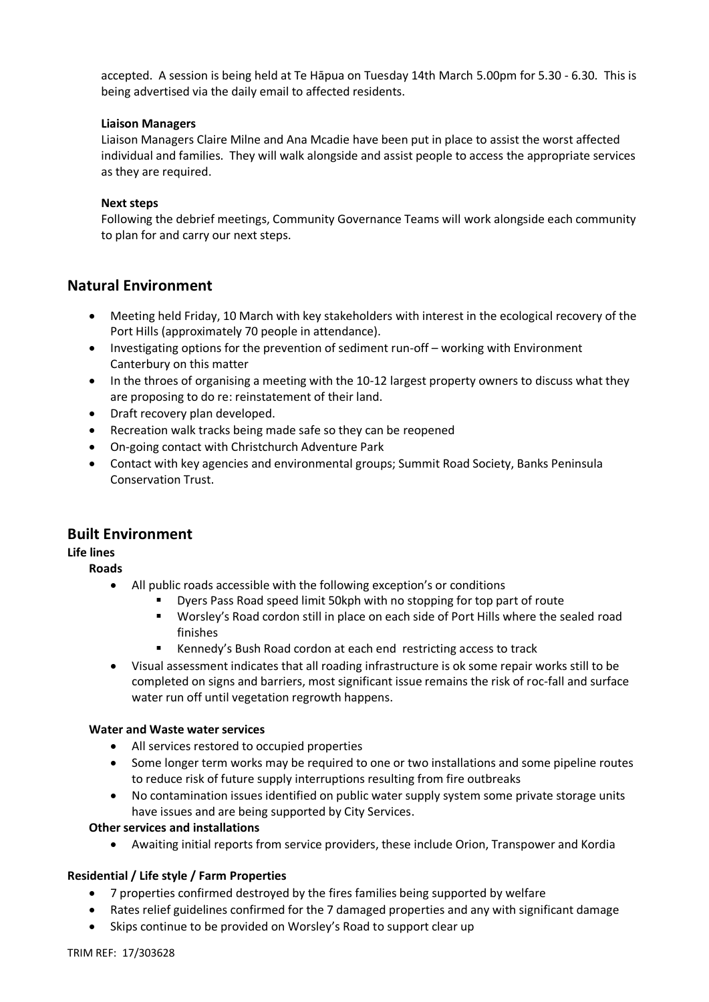accepted. A session is being held at Te Hāpua on Tuesday 14th March 5.00pm for 5.30 - 6.30. This is being advertised via the daily email to affected residents.

## **Liaison Managers**

Liaison Managers Claire Milne and Ana Mcadie have been put in place to assist the worst affected individual and families. They will walk alongside and assist people to access the appropriate services as they are required.

## **Next steps**

Following the debrief meetings, Community Governance Teams will work alongside each community to plan for and carry our next steps.

# **Natural Environment**

- Meeting held Friday, 10 March with key stakeholders with interest in the ecological recovery of the Port Hills (approximately 70 people in attendance).
- Investigating options for the prevention of sediment run-off working with Environment Canterbury on this matter
- In the throes of organising a meeting with the 10-12 largest property owners to discuss what they are proposing to do re: reinstatement of their land.
- Draft recovery plan developed.
- Recreation walk tracks being made safe so they can be reopened
- On-going contact with Christchurch Adventure Park
- Contact with key agencies and environmental groups; Summit Road Society, Banks Peninsula Conservation Trust.

# **Built Environment**

**Life lines**

**Roads**

- All public roads accessible with the following exception's or conditions
	- **Dyers Pass Road speed limit 50kph with no stopping for top part of route**
	- Worsley's Road cordon still in place on each side of Port Hills where the sealed road finishes
	- Kennedy's Bush Road cordon at each end restricting access to track
- Visual assessment indicates that all roading infrastructure is ok some repair works still to be completed on signs and barriers, most significant issue remains the risk of roc-fall and surface water run off until vegetation regrowth happens.

## **Water and Waste water services**

- All services restored to occupied properties
- Some longer term works may be required to one or two installations and some pipeline routes to reduce risk of future supply interruptions resulting from fire outbreaks
- No contamination issues identified on public water supply system some private storage units have issues and are being supported by City Services.

## **Other services and installations**

Awaiting initial reports from service providers, these include Orion, Transpower and Kordia

# **Residential / Life style / Farm Properties**

- 7 properties confirmed destroyed by the fires families being supported by welfare
- Rates relief guidelines confirmed for the 7 damaged properties and any with significant damage
- Skips continue to be provided on Worsley's Road to support clear up